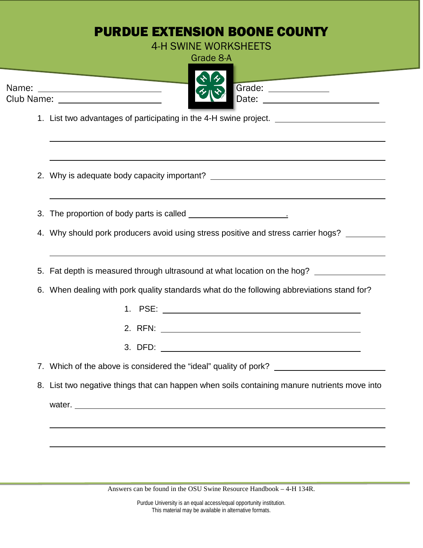## PURDUE EXTENSION BOONE COUNTY 4-H SWINE WORKSHEETS Grade 8-A Name: Grade: Club Name: Date: 1. List two advantages of participating in the 4-H swine project. 2. Why is adequate body capacity important? 3. The proportion of body parts is called . 4. Why should pork producers avoid using stress positive and stress carrier hogs? 5. Fat depth is measured through ultrasound at what location on the hog? 6. When dealing with pork quality standards what do the following abbreviations stand for? 1. PSE: 2. RFN: 3. DFD: 7. Which of the above is considered the "ideal" quality of pork? 8. List two negative things that can happen when soils containing manure nutrients move into water.

Answers can be found in the OSU Swine Resource Handbook – 4-H 134R.

Purdue University is an equal access/equal opportunity institution. This material may be available in alternative formats.